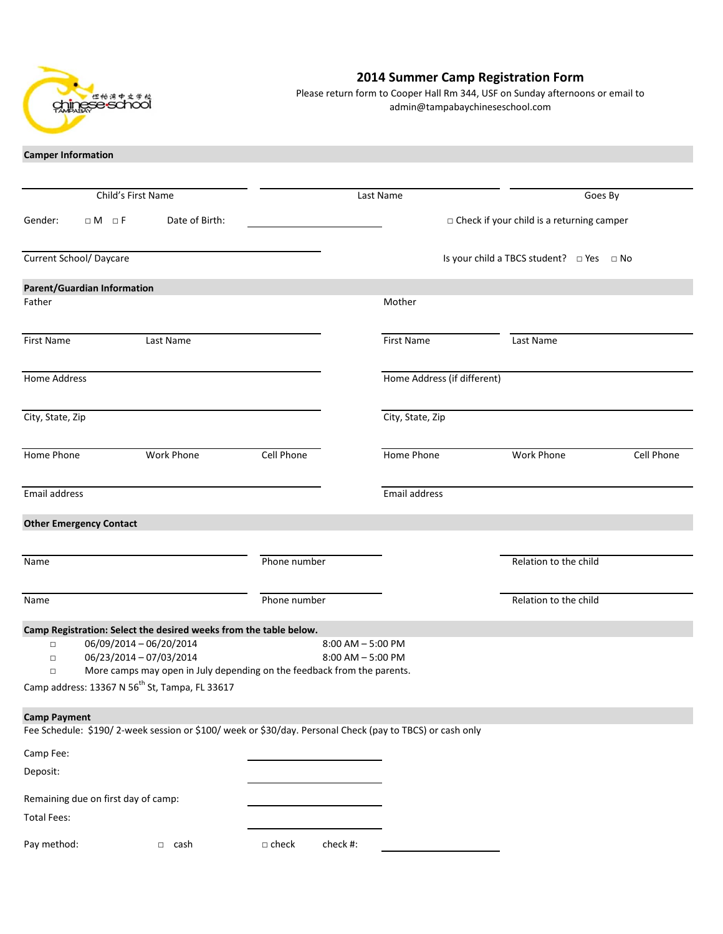

## **2014 Summer Camp Registration Form**

Please return form to Cooper Hall Rm 344, USF on Sunday afternoons or email to admin@tampabaychineseschool.com

**Camper Information**

|                                     | Child's First Name                                                                                                                                                                          |                 | Last Name                                    |                                                    |                                                  | Goes By    |
|-------------------------------------|---------------------------------------------------------------------------------------------------------------------------------------------------------------------------------------------|-----------------|----------------------------------------------|----------------------------------------------------|--------------------------------------------------|------------|
| Gender:<br>$\Box M$ $\Box F$        | Date of Birth:                                                                                                                                                                              |                 |                                              |                                                    | $\Box$ Check if your child is a returning camper |            |
| <b>Current School/ Daycare</b>      |                                                                                                                                                                                             |                 |                                              | Is your child a TBCS student? $\Box$ Yes $\Box$ No |                                                  |            |
| Parent/Guardian Information         |                                                                                                                                                                                             |                 |                                              |                                                    |                                                  |            |
| Father                              |                                                                                                                                                                                             |                 |                                              | Mother                                             |                                                  |            |
| First Name                          | Last Name                                                                                                                                                                                   |                 |                                              | <b>First Name</b>                                  | Last Name                                        |            |
| Home Address                        |                                                                                                                                                                                             |                 |                                              | Home Address (if different)                        |                                                  |            |
| City, State, Zip                    |                                                                                                                                                                                             |                 |                                              | City, State, Zip                                   |                                                  |            |
| Home Phone                          | <b>Work Phone</b>                                                                                                                                                                           | Cell Phone      |                                              | Home Phone                                         | Work Phone                                       | Cell Phone |
| Email address                       |                                                                                                                                                                                             |                 |                                              | Email address                                      |                                                  |            |
| <b>Other Emergency Contact</b>      |                                                                                                                                                                                             |                 |                                              |                                                    |                                                  |            |
| Name                                |                                                                                                                                                                                             | Phone number    |                                              |                                                    | Relation to the child                            |            |
| Name                                |                                                                                                                                                                                             | Phone number    |                                              |                                                    | Relation to the child                            |            |
|                                     | Camp Registration: Select the desired weeks from the table below.                                                                                                                           |                 |                                              |                                                    |                                                  |            |
| $\Box$<br>$\Box$<br>$\Box$          | 06/09/2014 - 06/20/2014<br>06/23/2014 - 07/03/2014<br>More camps may open in July depending on the feedback from the parents.<br>Camp address: 13367 N 56 <sup>th</sup> St, Tampa, FL 33617 |                 | $8:00$ AM $-5:00$ PM<br>$8:00$ AM $-5:00$ PM |                                                    |                                                  |            |
| <b>Camp Payment</b>                 |                                                                                                                                                                                             |                 |                                              |                                                    |                                                  |            |
|                                     | Fee Schedule: \$190/2-week session or \$100/week or \$30/day. Personal Check (pay to TBCS) or cash only                                                                                     |                 |                                              |                                                    |                                                  |            |
| Camp Fee:                           |                                                                                                                                                                                             |                 |                                              |                                                    |                                                  |            |
| Deposit:                            |                                                                                                                                                                                             |                 |                                              |                                                    |                                                  |            |
| Remaining due on first day of camp: |                                                                                                                                                                                             |                 |                                              |                                                    |                                                  |            |
| <b>Total Fees:</b>                  |                                                                                                                                                                                             |                 |                                              |                                                    |                                                  |            |
| Pay method:                         | $\Box$ cash                                                                                                                                                                                 | $\square$ check | check #:                                     |                                                    |                                                  |            |